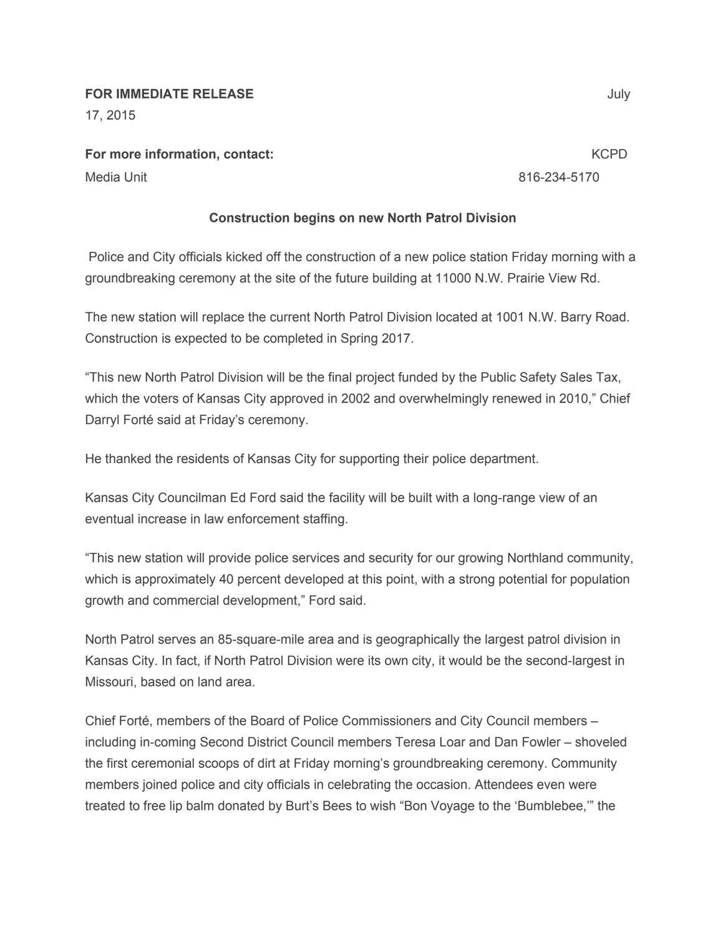## **FOR IMMEDIATE RELEASE** July

17, 2015

**For more information, contact:** KCPD **KCPD** 

Media Unit 816-234-5170

## **Construction begins on new North Patrol Division**

Police and City officials kicked off the construction of a new police station Friday morning with a groundbreaking ceremony at the site of the future building at 11000 N.W. Prairie View Rd.

The new station will replace the current North Patrol Division located at 1001 N.W. Barry Road. Construction is expected to be completed in Spring 2017.

"This new North Patrol Division will be the final project funded by the Public Safety Sales Tax, which the voters of Kansas City approved in 2002 and overwhelmingly renewed in 2010," Chief Darryl Forté said at Friday's ceremony.

He thanked the residents of Kansas City for supporting their police department.

Kansas City Councilman Ed Ford said the facility will be built with a long-range view of an eventual increase in law enforcement staffing.

"This new station will provide police services and security for our growing Northland community, which is approximately 40 percent developed at this point, with a strong potential for population growth and commercial development," Ford said.

North Patrol serves an 85-square-mile area and is geographically the largest patrol division in Kansas City. In fact, if North Patrol Division were its own city, it would be the second-largest in Missouri, based on land area.

Chief Forté, members of the Board of Police Commissioners and City Council members – including in-coming Second District Council members Teresa Loar and Dan Fowler – shoveled the first ceremonial scoops of dirt at Friday morning's groundbreaking ceremony. Community members joined police and city officials in celebrating the occasion. Attendees even were treated to free lip balm donated by Burt's Bees to wish "Bon Voyage to the 'Bumblebee,'" the